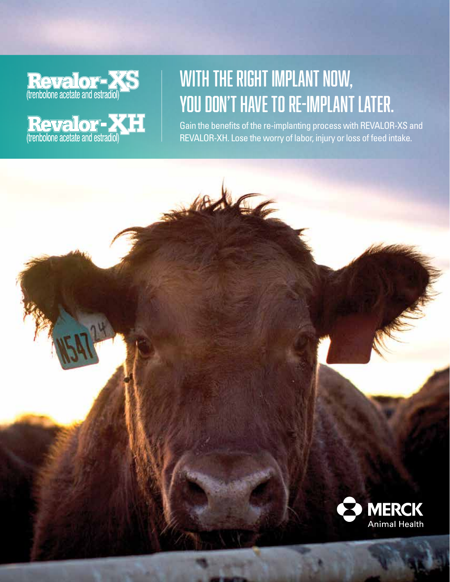**Revalor XS** 

**Revalor**<br>(trenbolone acetate and estradiol)

# WITH THE RIGHT IMPLANT NOW, you don't have to re-implant later.

Gain the benefits of the re-implanting process with REVALOR-XS and REVALOR-XH. Lose the worry of labor, injury or loss of feed intake.

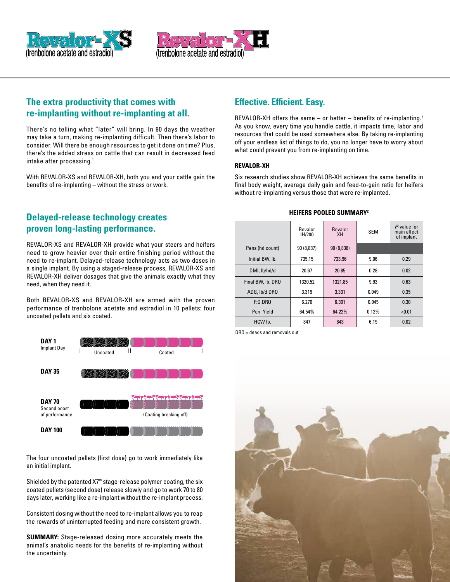



# **The extra productivity that comes with re-implanting without re-implanting at all.**

There's no telling what "later" will bring. In 90 days the weather may take a turn, making re-implanting difficult. Then there's labor to consider. Will there be enough resources to get it done on time? Plus, there's the added stress on cattle that can result in decreased feed intake after processing.<sup>1</sup>

With REVALOR-XS and REVALOR-XH, both you and your cattle gain the benefits of re-implanting – without the stress or work.

# **Delayed-release technology creates proven long-lasting performance.**

REVALOR-XS and REVALOR-XH provide what your steers and heifers need to grow heavier over their entire finishing period without the need to re-implant. Delayed-release technology acts as two doses in a single implant. By using a staged-release process, REVALOR-XS and REVALOR-XH deliver dosages that give the animals exactly what they need, when they need it.

Both REVALOR-XS and REVALOR-XH are armed with the proven performance of trenbolone acetate and estradiol in 10 pellets: four uncoated pellets and six coated.



The four uncoated pellets (first dose) go to work immediately like an initial implant.

Shielded by the patented X7™ stage-release polymer coating, the six coated pellets (second dose) release slowly and go to work 70 to 80 days later, working like a re-implant without the re-implant process.

Consistent dosing without the need to re-implant allows you to reap the rewards of uninterrupted feeding and more consistent growth.

**SUMMARY:** Stage-released dosing more accurately meets the animal's anabolic needs for the benefits of re-implanting without the uncertainty.

# **Effective. Efficient. Easy.**

REVALOR-XH offers the same – or better – benefits of re-implanting.<sup>2</sup> As you know, every time you handle cattle, it impacts time, labor and resources that could be used somewhere else. By taking re-implanting off your endless list of things to do, you no longer have to worry about what could prevent you from re-implanting on time.

#### **REVALOR-XH**

Six research studies show REVALOR-XH achieves the same benefits in final body weight, average daily gain and feed-to-gain ratio for heifers without re-implanting versus those that were re-implanted.

#### **HEIFERS POOLED SUMMARY2**

|                   | Revalor<br>IH/200 | Revalor<br>XH | <b>SEM</b> | P-value for<br>main effect<br>of implant |
|-------------------|-------------------|---------------|------------|------------------------------------------|
| Pens (hd count)   | 90 (8,837)        | 90 (8,838)    |            |                                          |
| Initial BW, lb.   | 735.15            | 733.96        | 9.06       | 0.29                                     |
| DMI, lb/hd/d      | 20.67             | 20.85         | 0.28       | 0.02                                     |
| Final BW, lb. DRO | 1320.52           | 1321.85       | 9.93       | 0.63                                     |
| ADG. Ib/d DRO     | 3.319             | 3.331         | 0.049      | 0.35                                     |
| $F:G$ DRO         | 6.270             | 6.301         | 0.045      | 0.30                                     |
| Pen Yield         | 64.54%            | 64.22%        | 0.12%      | < 0.01                                   |
| HCW lb.           | 847               | 843           | 6.19       | 0.02                                     |

DRO = deads and removals out

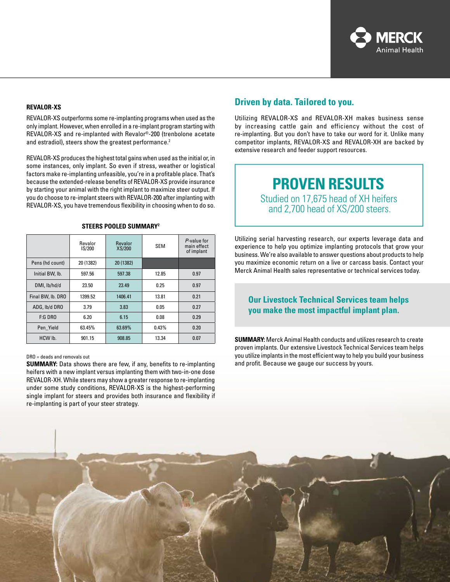

#### **REVALOR-XS**

REVALOR-XS outperforms some re-implanting programs when used as the only implant. However, when enrolled in a re-implant program starting with REVALOR-XS and re-implanted with Revalor®-200 (trenbolone acetate and estradiol), steers show the greatest performance.<sup>2</sup>

REVALOR-XS produces the highest total gains when used as the initial or, in some instances, only implant. So even if stress, weather or logistical factors make re-implanting unfeasible, you're in a profitable place. That's because the extended-release benefits of REVALOR-XS provide insurance by starting your animal with the right implant to maximize steer output. If you do choose to re-implant steers with REVALOR-200 after implanting with REVALOR-XS, you have tremendous flexibility in choosing when to do so.

|                   | Revalor<br>IS/200 | <b>Revalor</b><br>XS/200 | <b>SEM</b> | P-value for<br>main effect<br>of implant |
|-------------------|-------------------|--------------------------|------------|------------------------------------------|
| Pens (hd count)   | 20 (1382)         | 20 (1382)                |            |                                          |
| Initial BW, lb.   | 597.56            | 597.38                   | 12.85      | 0.97                                     |
| DMI, lb/hd/d      | 23.50             | 23.49                    | 0.25       | 0.97                                     |
| Final BW, lb. DRO | 1399.52           | 1406.41                  | 13.81      | 0.21                                     |
| ADG, lb/d DRO     | 3.79              | 3.83                     | 0.05       | 0.27                                     |
| $F:G$ DRO         | 6.20              | 6.15                     | 0.08       | 0.29                                     |
| Pen Yield         | 63.45%            | 63.69%                   | 0.43%      | 0.20                                     |
| HCW lb.           | 901.15            | 908.85                   | 13.34      | 0.07                                     |

#### **STEERS POOLED SUMMARY2**

#### DRO = deads and removals out

**SUMMARY:** Data shows there are few, if any, benefits to re-implanting heifers with a new implant versus implanting them with two-in-one dose REVALOR-XH. While steers may show a greater response to re-implanting under some study conditions, REVALOR-XS is the highest-performing single implant for steers and provides both insurance and flexibility if re-implanting is part of your steer strategy.

### **Driven by data. Tailored to you.**

Utilizing REVALOR-XS and REVALOR-XH makes business sense by increasing cattle gain and efficiency without the cost of re-implanting. But you don't have to take our word for it. Unlike many competitor implants, REVALOR-XS and REVALOR-XH are backed by extensive research and feeder support resources.

# **PROVEN RESULTS**

Studied on 17,675 head of XH heifers and 2,700 head of XS/200 steers.

Utilizing serial harvesting research, our experts leverage data and experience to help you optimize implanting protocols that grow your business. We're also available to answer questions about products to help you maximize economic return on a live or carcass basis. Contact your Merck Animal Health sales representative or technical services today.

### **Our Livestock Technical Services team helps you make the most impactful implant plan.**

**SUMMARY:** Merck Animal Health conducts and utilizes research to create proven implants. Our extensive Livestock Technical Services team helps you utilize implants in the most efficient way to help you build your business and profit. Because we gauge our success by yours.